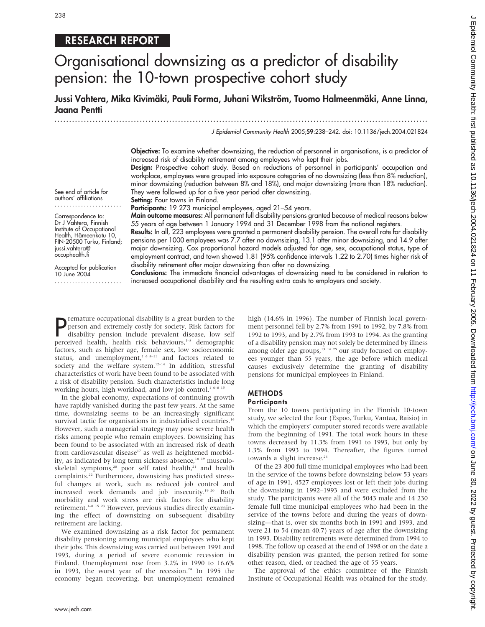# 238

# RESEARCH REPORT

# Organisational downsizing as a predictor of disability pension: the 10-town prospective cohort study

Jussi Vahtera, Mika Kivimäki, Pauli Forma, Juhani Wikström, Tuomo Halmeenmäki, Anne Linna, Jaana Pentti

...............................................................................................................................

J Epidemiol Community Health 2005;59:238–242. doi: 10.1136/jech.2004.021824

Objective: To examine whether downsizing, the reduction of personnel in organisations, is a predictor of increased risk of disability retirement among employees who kept their jobs.

Design: Prospective cohort study. Based on reductions of personnel in participants' occupation and workplace, employees were grouped into exposure categories of no downsizing (less than 8% reduction), minor downsizing (reduction between 8% and 18%), and major downsizing (more than 18% reduction). They were followed up for a five year period after downsizing. Setting: Four towns in Finland.

See end of article for authors' affiliations .......................

Correspondence to: Dr J Vahtera, Finnish Institute of Occupational Health, Hämeenkatu 10, FIN-20500 Turku, Finland; jussi.vahtera@ occuphealth.fi

Accepted for publication 10 June 2004 ....................... 55 years of age between 1 January 1994 and 31 December 1998 from the national registers.

Participants: 19 273 municipal employees, aged 21-54 years.

Results: In all, 223 employees were granted a permanent disability pension. The overall rate for disability pensions per 1000 employees was 7.7 after no downsizing, 13.1 after minor downsizing, and 14.9 after major downsizing. Cox proportional hazard models adjusted for age, sex, occupational status, type of employment contract, and town showed 1.81 (95% confidence intervals 1.22 to 2.70) times higher risk of disability retirement after major downsizing than after no downsizing.

Main outcome measures: All permanent full disability pensions granted because of medical reasons below

Conclusions: The immediate financial advantages of downsizing need to be considered in relation to increased occupational disability and the resulting extra costs to employers and society.

**P** remature occupational disability is a great burden to the person and extremely costly for society. Risk factors for disability pension include prevalent disease, low self perceived health, health risk behaviours,<sup>1-8</sup> remature occupational disability is a great burden to the person and extremely costly for society. Risk factors for disability pension include prevalent disease, low self factors, such as higher age, female sex, low socioeconomic status, and unemployment,<sup>168-11</sup> and factors related to society and the welfare system.<sup>12-14</sup> In addition, stressful characteristics of work have been found to be associated with a risk of disability pension. Such characteristics include long working hours, high workload, and low job control.<sup>1 6–8 15</sup>

In the global economy, expectations of continuing growth have rapidly vanished during the past few years. At the same time, downsizing seems to be an increasingly significant survival tactic for organisations in industrialised countries.<sup>16</sup> However, such a managerial strategy may pose severe health risks among people who remain employees. Downsizing has been found to be associated with an increased risk of death from cardiovascular disease<sup>17</sup> as well as heightened morbidity, as indicated by long term sickness absence,<sup>18 19</sup> musculoskeletal symptoms,<sup>20</sup> poor self rated health,<sup>21</sup> and health complaints.<sup>22</sup> Furthermore, downsizing has predicted stressful changes at work, such as reduced job control and increased work demands and job insecurity.19 20 Both morbidity and work stress are risk factors for disability retirement.1–8 15 23 However, previous studies directly examining the effect of downsizing on subsequent disability retirement are lacking.

We examined downsizing as a risk factor for permanent disability pensioning among municipal employees who kept their jobs. This downsizing was carried out between 1991 and 1993, during a period of severe economic recession in Finland. Unemployment rose from 3.2% in 1990 to 16.6% in 1993, the worst year of the recession. $24$  In 1995 the economy began recovering, but unemployment remained high (14.6% in 1996). The number of Finnish local government personnel fell by 2.7% from 1991 to 1992, by 7.8% from 1992 to 1993, and by 2.7% from 1993 to 1994. As the granting of a disability pension may not solely be determined by illness among older age groups, $13 \times 14 \times 25$  our study focused on employees younger than 55 years, the age before which medical causes exclusively determine the granting of disability pensions for municipal employees in Finland.

# **METHODS**

# **Participants**

From the 10 towns participating in the Finnish 10-town study, we selected the four (Espoo, Turku, Vantaa, Raisio) in which the employers' computer stored records were available from the beginning of 1991. The total work hours in these towns decreased by 11.3% from 1991 to 1993, but only by 1.3% from 1993 to 1994. Thereafter, the figures turned towards a slight increase.<sup>24</sup>

Of the 23 800 full time municipal employees who had been in the service of the towns before downsizing below 53 years of age in 1991, 4527 employees lost or left their jobs during the downsizing in 1992–1993 and were excluded from the study. The participants were all of the 5043 male and 14 230 female full time municipal employees who had been in the service of the towns before and during the years of downsizing—that is, over six months both in 1991 and 1993, and were 21 to 54 (mean 40.7) years of age after the downsizing in 1993. Disability retirements were determined from 1994 to 1998. The follow up ceased at the end of 1998 or on the date a disability pension was granted, the person retired for some other reason, died, or reached the age of 55 years.

The approval of the ethics committee of the Finnish Institute of Occupational Health was obtained for the study.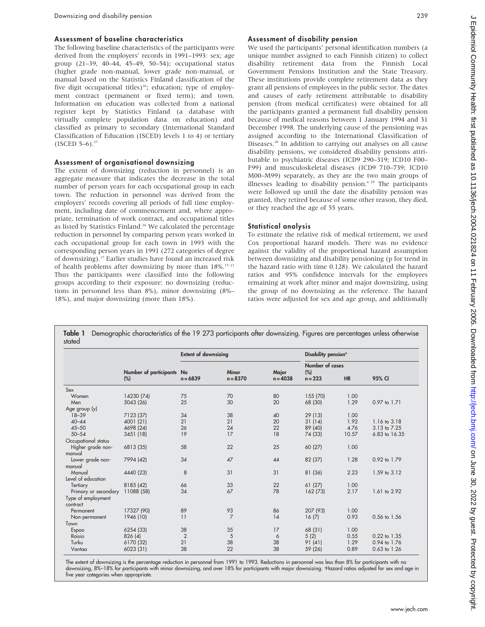#### Assessment of baseline characteristics

The following baseline characteristics of the participants were derived from the employers' records in 1991–1993: sex; age group (21–39, 40–44, 45–49, 50–54); occupational status (higher grade non-manual, lower grade non-manual, or manual based on the Statistics Finland classification of the five digit occupational titles)<sup>26</sup>; education; type of employment contract (permanent or fixed term); and town. Information on education was collected from a national register kept by Statistics Finland (a database with virtually complete population data on education) and classified as primary to secondary (International Standard Classification of Education (ISCED) levels 1 to 4) or tertiary  $($ ISCED 5–6 $)^{27}$ 

#### Assessment of organisational downsizing

The extent of downsizing (reduction in personnel) is an aggregate measure that indicates the decrease in the total number of person years for each occupational group in each town. The reduction in personnel was derived from the employers' records covering all periods of full time employment, including date of commencement and, where appropriate, termination of work contract, and occupational titles as listed by Statistics Finland.<sup>26</sup> We calculated the percentage reduction in personnel by comparing person years worked in each occupational group for each town in 1993 with the corresponding person years in 1991 (272 categories of degree of downsizing).17 Earlier studies have found an increased risk of health problems after downsizing by more than  $18\%$ .<sup>17–21</sup> Thus the participants were classified into the following groups according to their exposure: no downsizing (reductions in personnel less than 8%), minor downsizing (8%– 18%), and major downsizing (more than 18%).

#### Assessment of disability pension

We used the participants' personal identification numbers (a unique number assigned to each Finnish citizen) to collect disability retirement data from the Finnish Local Government Pensions Institution and the State Treasury. These institutions provide complete retirement data as they grant all pensions of employees in the public sector. The dates and causes of early retirement attributable to disability pension (from medical certificates) were obtained for all the participants granted a permanent full disability pension because of medical reasons between 1 January 1994 and 31 December 1998. The underlying cause of the pensioning was assigned according to the International Classification of Diseases.28 In addition to carrying out analyses on all cause disability pensions, we considered disability pensions attributable to psychiatric diseases (ICD9 290–319; ICD10 F00– F99) and musculoskeletal diseases (ICD9 710–739; ICD10 M00–M99) separately, as they are the two main groups of illnesses leading to disability pension.<sup>4 29</sup> The participants were followed up until the date the disability pension was granted, they retired because of some other reason, they died, or they reached the age of 55 years.

#### Statistical analysis

To estimate the relative risk of medical retirement, we used Cox proportional hazard models. There was no evidence against the validity of the proportional hazard assumption between downsizing and disability pensioning (p for trend in the hazard ratio with time 0.128). We calculated the hazard ratios and 95% confidence intervals for the employees remaining at work after minor and major downsizing, using the group of no downsizing as the reference. The hazard ratios were adjusted for sex and age group, and additionally

|                      |                                  | <b>Extent of downsizing</b> |                            |                     | Disability pension*                                           |       |                  |  |
|----------------------|----------------------------------|-----------------------------|----------------------------|---------------------|---------------------------------------------------------------|-------|------------------|--|
|                      | Number of participants<br>$(\%)$ | No<br>$n = 6839$            | <b>Minor</b><br>$n = 8370$ | Major<br>$n = 4038$ | Number of cases<br>$(\%)$<br>$n = 223$<br><b>HR</b><br>95% CI |       |                  |  |
|                      |                                  |                             |                            |                     |                                                               |       |                  |  |
| Sex                  |                                  |                             |                            |                     |                                                               |       |                  |  |
| Women                | 14230 (74)                       | 75                          | 70                         | 80                  | 155 (70)                                                      | 1.00  |                  |  |
| Men                  | 5043 (26)                        | 25                          | 30                         | 20                  | 68 (30)                                                       | 1.29  | 0.97 to 1.71     |  |
| Age group (y)        |                                  |                             |                            |                     |                                                               |       |                  |  |
| $18 - 39$            | 7123 (37)                        | 34                          | 38                         | 40                  | 29(13)                                                        | 1.00  |                  |  |
| $40 - 44$            | 4001 (21)                        | 21                          | 21                         | 20                  | 31(14)                                                        | 1.92  | 1.16 to 3.18     |  |
| $45 - 50$            | 4698 (24)                        | 26                          | 24                         | 22                  | 89 (40)                                                       | 4.76  | 3.13 to 7.25     |  |
| $50 - 54$            | 3451(18)                         | 19                          | 17                         | 18                  | 74 (33)                                                       | 10.57 | 6.83 to 16.35    |  |
| Occupational status  |                                  |                             |                            |                     |                                                               |       |                  |  |
| Higher grade non-    | 6813 (35)                        | 58                          | 22                         | 25                  | 60 (27)                                                       | 1.00  |                  |  |
| manual               |                                  |                             |                            |                     |                                                               |       |                  |  |
| Lower grade non-     | 7994 (42)                        | 34                          | 47                         | 44                  | 82 (37)                                                       | 1.28  | 0.92 to 1.79     |  |
| manual               |                                  |                             |                            |                     |                                                               |       |                  |  |
| Manual               | 4440 (23)                        | 8                           | 31                         | 31                  | 81 (36)                                                       | 2.23  | 1.59 to 3.12     |  |
| Level of education   |                                  |                             |                            |                     |                                                               |       |                  |  |
| Tertiary             | 8185 (42)                        | 66                          | 33                         | 22                  | 61(27)                                                        | 1.00  |                  |  |
| Primary or secondary | 11088 (58)                       | 34                          | 67                         | 78                  | 162 (73)                                                      | 2.17  | 1.61 to 2.92     |  |
| Type of employment   |                                  |                             |                            |                     |                                                               |       |                  |  |
| contract             |                                  |                             |                            |                     |                                                               |       |                  |  |
| Permanent            | 17327 (90)                       | 89                          | 93                         | 86                  | 207 (93)                                                      | 1.00  |                  |  |
| Non-permanent        | 1946 (10)                        | 11                          | $\overline{7}$             | 14                  | 16(7)                                                         | 0.93  | 0.56 to 1.56     |  |
| Town                 |                                  |                             |                            |                     |                                                               |       |                  |  |
| Espoo                | 6254 (33)                        | 38                          | 35                         | 17                  | 68 (31)                                                       | 1.00  |                  |  |
| Raisio               | 826 (4)                          | $\overline{2}$              | 5                          | 6                   | 5(2)                                                          | 0.55  | 0.22 to 1.35     |  |
| Turku                | 6170 (32)                        | 21                          | 38                         | 38                  | 91 (41)                                                       | 1.29  | 0.94 to 1.76     |  |
| Vantaa               | 6023 (31)                        | 38                          | 22                         | 38                  | 59 (26)                                                       | 0.89  | $0.63$ to $1.26$ |  |

The extent of downsizing is the percentage reduction in personnel from 1991 to 1993. Reductions in personnel was less than 8% for participants with no downsizing, 8%–18% for participants with minor downsizing, and over 18% for participants with major downsizing. \*Hazard ratios adjusted for sex and age in five year categories when appropriate.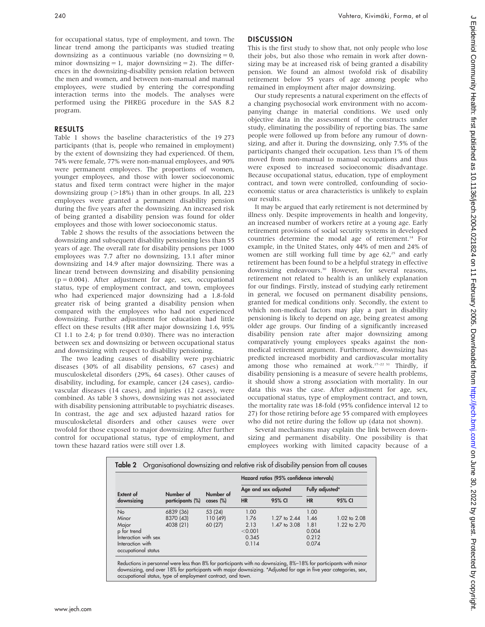for occupational status, type of employment, and town. The linear trend among the participants was studied treating downsizing as a continuous variable (no downsizing  $= 0$ , minor downsizing  $= 1$ , major downsizing  $= 2$ ). The differences in the downsizing-disability pension relation between the men and women, and between non-manual and manual employees, were studied by entering the corresponding interaction terms into the models. The analyses were performed using the PHREG procedure in the SAS 8.2 program.

### RESULTS

Table 1 shows the baseline characteristics of the 19 273 participants (that is, people who remained in employment) by the extent of downsizing they had experienced. Of them, 74% were female, 77% were non-manual employees, and 90% were permanent employees. The proportions of women, younger employees, and those with lower socioeconomic status and fixed term contract were higher in the major downsizing group  $(>18%)$  than in other groups. In all, 223 employees were granted a permanent disability pension during the five years after the downsizing. An increased risk of being granted a disability pension was found for older employees and those with lower socioeconomic status.

Table 2 shows the results of the associations between the downsizing and subsequent disability pensioning less than 55 years of age. The overall rate for disability pensions per 1000 employees was 7.7 after no downsizing, 13.1 after minor downsizing and 14.9 after major downsizing. There was a linear trend between downsizing and disability pensioning  $(p = 0.004)$ . After adjustment for age, sex, occupational status, type of employment contract, and town, employees who had experienced major downsizing had a 1.8-fold greater risk of being granted a disability pension when compared with the employees who had not experienced downsizing. Further adjustment for education had little effect on these results (HR after major downsizing 1.6, 95% CI 1.1 to 2.4; p for trend 0.030). There was no interaction between sex and downsizing or between occupational status and downsizing with respect to disability pensioning.

The two leading causes of disability were psychiatric diseases (30% of all disability pensions, 67 cases) and musculoskeletal disorders (29%, 64 cases). Other causes of disability, including, for example, cancer (24 cases), cardiovascular diseases (14 cases), and injuries (12 cases), were combined. As table 3 shows, downsizing was not associated with disability pensioning attributable to psychiatric diseases. In contrast, the age and sex adjusted hazard ratios for musculoskeletal disorders and other causes were over twofold for those exposed to major downsizing. After further control for occupational status, type of employment, and town these hazard ratios were still over 1.8.

## DISCUSSION

This is the first study to show that, not only people who lose their jobs, but also those who remain in work after downsizing may be at increased risk of being granted a disability pension. We found an almost twofold risk of disability retirement below 55 years of age among people who remained in employment after major downsizing.

Our study represents a natural experiment on the effects of a changing psychosocial work environment with no accompanying change in material conditions. We used only objective data in the assessment of the constructs under study, eliminating the possibility of reporting bias. The same people were followed up from before any rumour of downsizing, and after it. During the downsizing, only 7.5% of the participants changed their occupation. Less than 1% of them moved from non-manual to manual occupations and thus were exposed to increased socioeconomic disadvantage. Because occupational status, education, type of employment contract, and town were controlled, confounding of socioeconomic status or area characteristics is unlikely to explain our results.

It may be argued that early retirement is not determined by illness only. Despite improvements in health and longevity, an increased number of workers retire at a young age. Early retirement provisions of social security systems in developed countries determine the modal age of retirement.<sup>14</sup> For example, in the United States, only 44% of men and 24% of women are still working full time by age  $62<sup>25</sup>$  and early retirement has been found to be a helpful strategy in effective downsizing endeavours.<sup>30</sup> However, for several reasons, retirement not related to health is an unlikely explanation for our findings. Firstly, instead of studying early retirement in general, we focused on permanent disability pensions, granted for medical conditions only. Secondly, the extent to which non-medical factors may play a part in disability pensioning is likely to depend on age, being greatest among older age groups. Our finding of a significantly increased disability pension rate after major downsizing among comparatively young employees speaks against the nonmedical retirement argument. Furthermore, downsizing has predicted increased morbidity and cardiovascular mortality among those who remained at work.<sup>17–22 31</sup> Thirdly, if disability pensioning is a measure of severe health problems, it should show a strong association with mortality. In our data this was the case. After adjustment for age, sex, occupational status, type of employment contract, and town, the mortality rate was 18-fold (95% confidence interval 12 to 27) for those retiring before age 55 compared with employees who did not retire during the follow up (data not shown).

Several mechanisms may explain the link between downsizing and permanent disability. One possibility is that employees working with limited capacity because of a

| Extent of<br>downsizing                 |                  | Number of<br>cases (%) | Hazard ratios (95% confidence intervals) |                      |                 |              |  |  |
|-----------------------------------------|------------------|------------------------|------------------------------------------|----------------------|-----------------|--------------|--|--|
|                                         | Number of        |                        |                                          | Age and sex adjusted | Fully adjusted* |              |  |  |
|                                         | participants (%) |                        | <b>HR</b>                                | 95% CI               | <b>HR</b>       | 95% CI       |  |  |
| <b>No</b>                               | 6839 (36)        | 53 (24)                | 1.00                                     |                      | 1.00            |              |  |  |
| Minor                                   | 8370 (43)        | 110 (49)               | 1.76                                     | 1.27 to 2.44         | 1.46            | 1.02 to 2.08 |  |  |
| Major                                   | 4038 (21)        | 60 (27)                | 2.13                                     | 1.47 to 3.08         | 1.81            | 1.22 to 2.70 |  |  |
| p for trend                             |                  |                        | < 0.001                                  |                      | 0.004           |              |  |  |
| Interaction with sex                    |                  |                        | 0.345                                    |                      | 0.212           |              |  |  |
| Interaction with<br>occupational status |                  |                        | 0.114                                    |                      | 0.074           |              |  |  |

Reductions in personnel were less than 8% for participants with no downsizing, 8%–18% for participants with minor<br>downsizing, and over 18% for participants with major downsizing. \*Adjusted for age in five year categories, occupational status, type of employment contract, and town.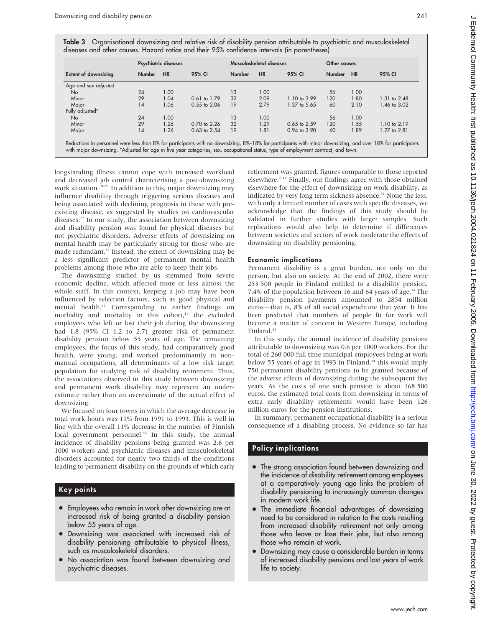Table 3 Organisational downsizing and relative risk of disability pension attributable to psychiatric and musculoskeletal diseases and other causes. Hazard ratios and their 95% confidence intervals (in parentheses)

|                             | Psychiatric diseases |           |                  | Musculoskeletal diseases |           |                  | Other causes  |           |                         |
|-----------------------------|----------------------|-----------|------------------|--------------------------|-----------|------------------|---------------|-----------|-------------------------|
| <b>Extent of downsizing</b> | <b>Numbe</b>         | <b>HR</b> | 95% CI           | <b>Number</b>            | <b>HR</b> | 95% CI           | <b>Number</b> | <b>HR</b> | 95% CI                  |
| Age and sex adjusted        |                      |           |                  |                          |           |                  |               |           |                         |
| N <sub>o</sub>              | 24                   | 1.00      |                  | 13                       | 1.00      |                  | 56            | 1.00      |                         |
| Minor                       | 29                   | 1.04      | 0.61 to 1.79     | 32                       | 2.09      | 1.10 to 3.99     | 120           | 1.80      | 1.31 to 2.48            |
| Major                       | 14                   | 1.06      | $0.55$ to $2.06$ | 19                       | 2.79      | 1.37 to 5.65     | 60            | 2.10      | 1.46 to 3.02            |
| Fully adjusted*             |                      |           |                  |                          |           |                  |               |           |                         |
| No.                         | 24                   | 1.00      |                  | 13                       | 1.00      |                  | 56            | 1.00      |                         |
| Minor                       | 29                   | 1.26      | 0.70 to 2.26     | 32                       | 1.29      | $0.65$ to $2.59$ | 120           | 1.55      | $1.10 \text{ to } 2.19$ |
| Major                       | 14                   | 1.26      | $0.63$ to $2.54$ | 19                       | 1.81      | $0.94$ to $3.90$ | 60            | 1.89      | 1.27 to 2.81            |

longstanding illness cannot cope with increased workload and decreased job control characterising a post-downsizing work situation.<sup>19–21</sup> In addition to this, major downsizing may influence disability through triggering serious diseases and being associated with declining prognosis in those with preexisting disease, as suggested by studies on cardiovascular diseases.17 In our study, the association between downsizing and disability pension was found for physical diseases but not psychiatric disorders. Adverse effects of downsizing on mental health may be particularly strong for those who are made redundant.<sup>32</sup> Instead, the extent of downsizing may be a less significant predictor of permanent mental health problems among those who are able to keep their jobs.

The downsizing studied by us stemmed from severe economic decline, which affected more or less almost the whole staff. In this context, keeping a job may have been influenced by selection factors, such as good physical and mental health.33 Corresponding to earlier findings on morbidity and mortality in this cohort, $17$  the excluded employees who left or lost their job during the downsizing had 1.8 (95% CI 1.2 to 2.7) greater risk of permanent disability pension below 55 years of age. The remaining employees, the focus of this study, had comparatively good health, were young, and worked predominantly in nonmanual occupations, all determinants of a low risk target population for studying risk of disability retirement. Thus, the associations observed in this study between downsizing and permanent work disability may represent an underestimate rather than an overestimate of the actual effect of downsizing.

We focused on four towns in which the average decrease in total work hours was 11% from 1991 to 1993. This is well in line with the overall 11% decrease in the number of Finnish local government personnel.<sup>24</sup> In this study, the annual incidence of disability pensions being granted was 2.6 per 1000 workers and psychiatric diseases and musculoskeletal disorders accounted for nearly two thirds of the conditions leading to permanent disability on the grounds of which early

# Key points

- Employees who remain in work after downsizing are at increased risk of being granted a disability pension below 55 years of age.
- Downsizing was associated with increased risk of disability pensioning attributable to physical illness, such as musculoskeletal disorders.
- No association was found between downsizing and psychiatric diseases.

retirement was granted, figures comparable to those reported elsewhere.4 13 Finally, our findings agree with those obtained elsewhere for the effect of downsizing on work disability, as indicated by very long term sickness absence.<sup>31</sup> None the less, with only a limited number of cases with specific diseases, we acknowledge that the findings of this study should be validated in further studies with larger samples. Such replications would also help to determine if differences between societies and sectors of work moderate the effects of downsizing on disability pensioning.

## Economic implications

Permanent disability is a great burden, not only on the person, but also on society. At the end of 2002, there were 253 500 people in Finland entitled to a disability pension, 7.4% of the population between 16 and 64 years of age.<sup>34</sup> The disability pension payments amounted to 2854 million euros—that is, 8% of all social expenditure that year. It has been predicted that numbers of people fit for work will become a matter of concern in Western Europe, including Finland.<sup>35</sup>

In this study, the annual incidence of disability pensions attributable to downsizing was 0.6 per 1000 workers. For the total of 260 000 full time municipal employees being at work below 55 years of age in 1993 in Finland, $24$  this would imply 750 permanent disability pensions to be granted because of the adverse effects of downsizing during the subsequent five years. As the costs of one such pension is about 168 500 euros, the estimated total costs from downsizing in terms of extra early disability retirements would have been 126 million euros for the pension institutions.

In summary, permanent occupational disability is a serious consequence of a disabling process. No evidence so far has

## Policy implications

- $\bullet$  The strong association found between downsizing and the incidence of disability retirement among employees at a comparatively young age links the problem of disability pensioning to increasingly common changes in modern work life.
- The immediate financial advantages of downsizing need to be considered in relation to the costs resulting from increased disability retirement not only among those who leave or lose their jobs, but also among those who remain at work.
- Downsizing may cause a considerable burden in terms of increased disability pensions and lost years of work life to society.